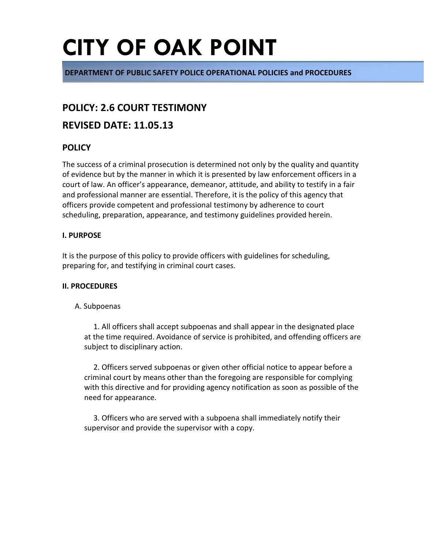# **CITY OF OAK POINT**

**DEPARTMENT OF PUBLIC SAFETY POLICE OPERATIONAL POLICIES and PROCEDURES**

### **POLICY: 2.6 COURT TESTIMONY**

### **REVISED DATE: 11.05.13**

### **POLICY**

The success of a criminal prosecution is determined not only by the quality and quantity of evidence but by the manner in which it is presented by law enforcement officers in a court of law. An officer's appearance, demeanor, attitude, and ability to testify in a fair and professional manner are essential. Therefore, it is the policy of this agency that officers provide competent and professional testimony by adherence to court scheduling, preparation, appearance, and testimony guidelines provided herein.

#### **I. PURPOSE**

It is the purpose of this policy to provide officers with guidelines for scheduling, preparing for, and testifying in criminal court cases.

#### **II. PROCEDURES**

#### A. Subpoenas

1. All officers shall accept subpoenas and shall appear in the designated place at the time required. Avoidance of service is prohibited, and offending officers are subject to disciplinary action.

2. Officers served subpoenas or given other official notice to appear before a criminal court by means other than the foregoing are responsible for complying with this directive and for providing agency notification as soon as possible of the need for appearance.

3. Officers who are served with a subpoena shall immediately notify their supervisor and provide the supervisor with a copy.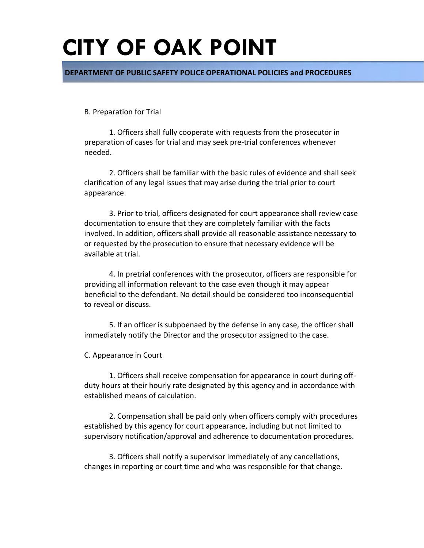## **CITY OF OAK POINT**

**DEPARTMENT OF PUBLIC SAFETY POLICE OPERATIONAL POLICIES and PROCEDURES**

B. Preparation for Trial

1. Officers shall fully cooperate with requests from the prosecutor in preparation of cases for trial and may seek pre-trial conferences whenever needed.

2. Officers shall be familiar with the basic rules of evidence and shall seek clarification of any legal issues that may arise during the trial prior to court appearance.

3. Prior to trial, officers designated for court appearance shall review case documentation to ensure that they are completely familiar with the facts involved. In addition, officers shall provide all reasonable assistance necessary to or requested by the prosecution to ensure that necessary evidence will be available at trial.

4. In pretrial conferences with the prosecutor, officers are responsible for providing all information relevant to the case even though it may appear beneficial to the defendant. No detail should be considered too inconsequential to reveal or discuss.

5. If an officer is subpoenaed by the defense in any case, the officer shall immediately notify the Director and the prosecutor assigned to the case.

C. Appearance in Court

1. Officers shall receive compensation for appearance in court during offduty hours at their hourly rate designated by this agency and in accordance with established means of calculation.

2. Compensation shall be paid only when officers comply with procedures established by this agency for court appearance, including but not limited to supervisory notification/approval and adherence to documentation procedures.

3. Officers shall notify a supervisor immediately of any cancellations, changes in reporting or court time and who was responsible for that change.